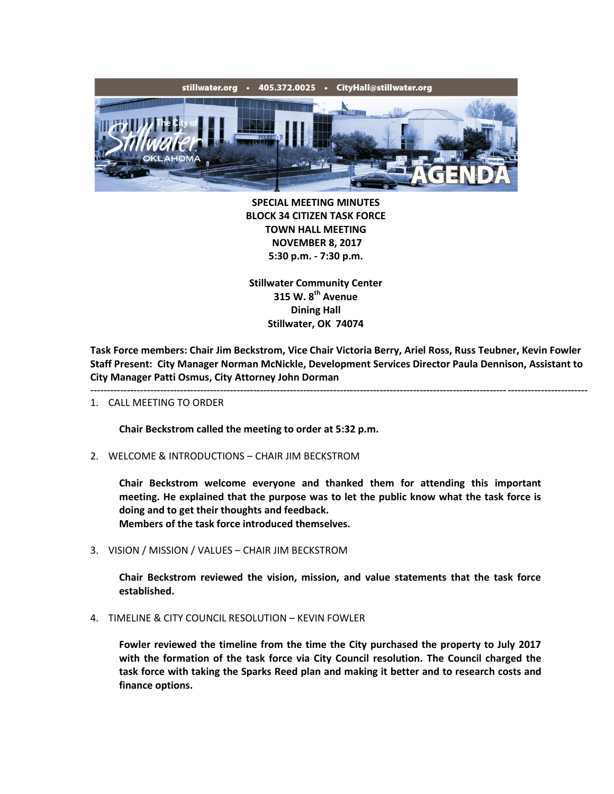

**SPECIAL MEETING MINUTES BLOCK 34 CITIZEN TASK FORCE TOWN HALL MEETING NOVEMBER 8, 2017 5:30 p.m. - 7:30 p.m.**

**Stillwater Community Center 315 W. 8th Avenue Dining Hall Stillwater, OK 74074**

**Task Force members: Chair Jim Beckstrom, Vice Chair Victoria Berry, Ariel Ross, Russ Teubner, Kevin Fowler Staff Present: City Manager Norman McNickle, Development Services Director Paula Dennison, Assistant to City Manager Patti Osmus, City Attorney John Dorman**

-----------------------------------------------------------------------------------------------------------------------------------------------------

1. CALL MEETING TO ORDER

**Chair Beckstrom called the meeting to order at 5:32 p.m.**

2. WELCOME & INTRODUCTIONS – CHAIR JIM BECKSTROM

**Chair Beckstrom welcome everyone and thanked them for attending this important meeting. He explained that the purpose was to let the public know what the task force is doing and to get their thoughts and feedback. Members of the task force introduced themselves.**

3. VISION / MISSION / VALUES – CHAIR JIM BECKSTROM

**Chair Beckstrom reviewed the vision, mission, and value statements that the task force established.**

4. TIMELINE & CITY COUNCIL RESOLUTION – KEVIN FOWLER

**Fowler reviewed the timeline from the time the City purchased the property to July 2017 with the formation of the task force via City Council resolution. The Council charged the task force with taking the Sparks Reed plan and making it better and to research costs and finance options.**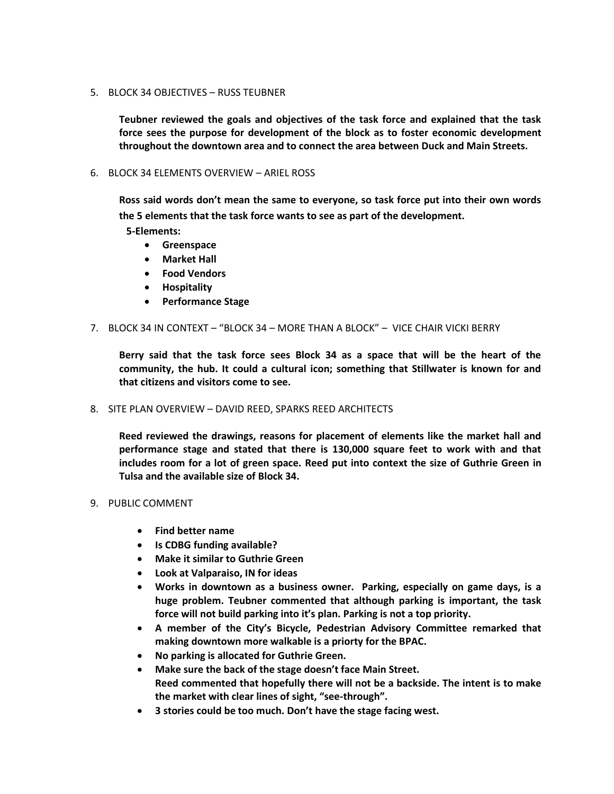#### 5. BLOCK 34 OBJECTIVES – RUSS TEUBNER

**Teubner reviewed the goals and objectives of the task force and explained that the task force sees the purpose for development of the block as to foster economic development throughout the downtown area and to connect the area between Duck and Main Streets.**

#### 6. BLOCK 34 ELEMENTS OVERVIEW – ARIEL ROSS

**Ross said words don't mean the same to everyone, so task force put into their own words the 5 elements that the task force wants to see as part of the development. 5-Elements:**

- **Greenspace**
- **Market Hall**
- **Food Vendors**
- **Hospitality**
- **Performance Stage**

#### 7. BLOCK 34 IN CONTEXT – "BLOCK 34 – MORE THAN A BLOCK" – VICE CHAIR VICKI BERRY

**Berry said that the task force sees Block 34 as a space that will be the heart of the community, the hub. It could a cultural icon; something that Stillwater is known for and that citizens and visitors come to see.**

#### 8. SITE PLAN OVERVIEW – DAVID REED, SPARKS REED ARCHITECTS

**Reed reviewed the drawings, reasons for placement of elements like the market hall and performance stage and stated that there is 130,000 square feet to work with and that includes room for a lot of green space. Reed put into context the size of Guthrie Green in Tulsa and the available size of Block 34.**

#### 9. PUBLIC COMMENT

- **Find better name**
- **Is CDBG funding available?**
- **Make it similar to Guthrie Green**
- **Look at Valparaiso, IN for ideas**
- **Works in downtown as a business owner. Parking, especially on game days, is a huge problem. Teubner commented that although parking is important, the task force will not build parking into it's plan. Parking is not a top priority.**
- **A member of the City's Bicycle, Pedestrian Advisory Committee remarked that making downtown more walkable is a priorty for the BPAC.**
- **No parking is allocated for Guthrie Green.**
- **Make sure the back of the stage doesn't face Main Street. Reed commented that hopefully there will not be a backside. The intent is to make the market with clear lines of sight, "see-through".**
- **3 stories could be too much. Don't have the stage facing west.**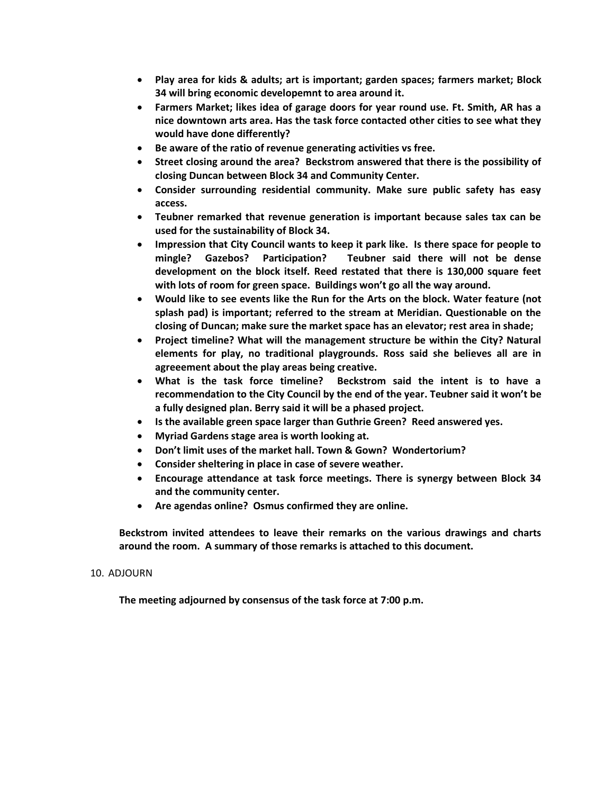- **Play area for kids & adults; art is important; garden spaces; farmers market; Block 34 will bring economic developemnt to area around it.**
- **Farmers Market; likes idea of garage doors for year round use. Ft. Smith, AR has a nice downtown arts area. Has the task force contacted other cities to see what they would have done differently?**
- **Be aware of the ratio of revenue generating activities vs free.**
- **Street closing around the area? Beckstrom answered that there is the possibility of closing Duncan between Block 34 and Community Center.**
- **Consider surrounding residential community. Make sure public safety has easy access.**
- **Teubner remarked that revenue generation is important because sales tax can be used for the sustainability of Block 34.**
- **Impression that City Council wants to keep it park like. Is there space for people to mingle? Gazebos? Participation? Teubner said there will not be dense development on the block itself. Reed restated that there is 130,000 square feet with lots of room for green space. Buildings won't go all the way around.**
- **Would like to see events like the Run for the Arts on the block. Water feature (not splash pad) is important; referred to the stream at Meridian. Questionable on the closing of Duncan; make sure the market space has an elevator; rest area in shade;**
- **Project timeline? What will the management structure be within the City? Natural elements for play, no traditional playgrounds. Ross said she believes all are in agreeement about the play areas being creative.**
- **What is the task force timeline? Beckstrom said the intent is to have a recommendation to the City Council by the end of the year. Teubner said it won't be a fully designed plan. Berry said it will be a phased project.**
- **Is the available green space larger than Guthrie Green? Reed answered yes.**
- **Myriad Gardens stage area is worth looking at.**
- **Don't limit uses of the market hall. Town & Gown? Wondertorium?**
- **Consider sheltering in place in case of severe weather.**
- **Encourage attendance at task force meetings. There is synergy between Block 34 and the community center.**
- **Are agendas online? Osmus confirmed they are online.**

**Beckstrom invited attendees to leave their remarks on the various drawings and charts around the room. A summary of those remarks is attached to this document.**

#### 10. ADJOURN

**The meeting adjourned by consensus of the task force at 7:00 p.m.**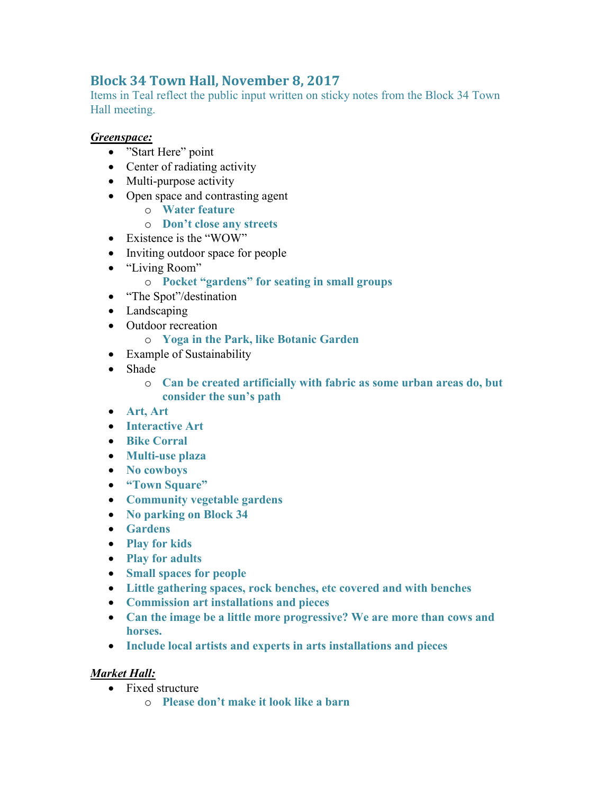# **Block 34 Town Hall, November 8, 2017**

Items in Teal reflect the public input written on sticky notes from the Block 34 Town Hall meeting.

### *Greenspace:*

- "Start Here" point
- Center of radiating activity
- Multi-purpose activity
- Open space and contrasting agent
	- o **Water feature**
		- o **Don't close any streets**
- Existence is the "WOW"
- Inviting outdoor space for people
- "Living Room"

## o **Pocket "gardens" for seating in small groups**

- "The Spot"/destination
- Landscaping
- Outdoor recreation
	- o **Yoga in the Park, like Botanic Garden**
- Example of Sustainability
- Shade
	- o **Can be created artificially with fabric as some urban areas do, but consider the sun's path**
- **Art, Art**
- **Interactive Art**
- **Bike Corral**
- **Multi-use plaza**
- **No cowboys**
- **"Town Square"**
- **Community vegetable gardens**
- **No parking on Block 34**
- **Gardens**
- **Play for kids**
- **Play for adults**
- **Small spaces for people**
- **Little gathering spaces, rock benches, etc covered and with benches**
- **Commission art installations and pieces**
- **Can the image be a little more progressive? We are more than cows and horses.**
- **Include local artists and experts in arts installations and pieces**

# *Market Hall:*

- Fixed structure
	- o **Please don't make it look like a barn**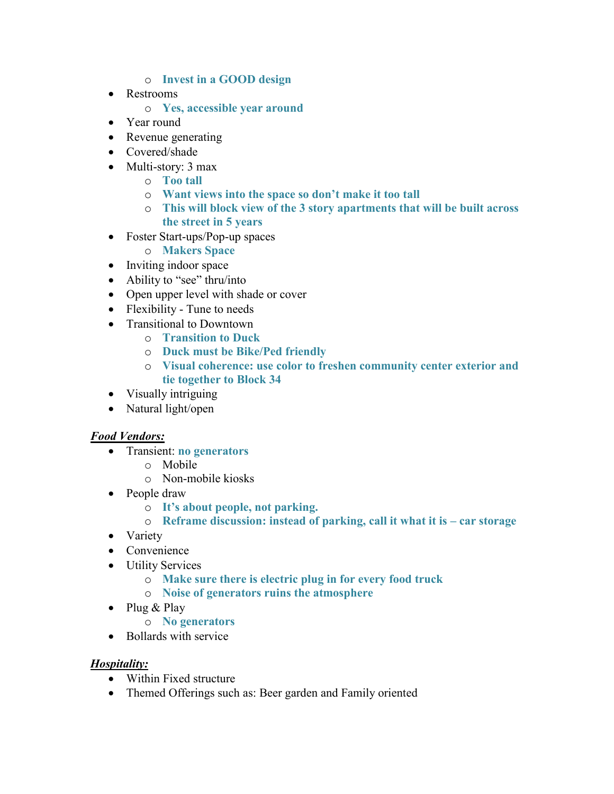- o **Invest in a GOOD design**
- Restrooms
	- o **Yes, accessible year around**
- Year round
- Revenue generating
- Covered/shade
- Multi-story: 3 max
	- o **Too tall**
	- o **Want views into the space so don't make it too tall**
	- o **This will block view of the 3 story apartments that will be built across the street in 5 years**
- Foster Start-ups/Pop-up spaces
	- o **Makers Space**
- Inviting indoor space
- Ability to "see" thru/into
- Open upper level with shade or cover
- Flexibility Tune to needs
- Transitional to Downtown
	- o **Transition to Duck**
	- o **Duck must be Bike/Ped friendly**
	- o **Visual coherence: use color to freshen community center exterior and tie together to Block 34**
- Visually intriguing
- Natural light/open

### *Food Vendors:*

- Transient: **no generators**
	- o Mobile
	- o Non-mobile kiosks
- People draw
	- o **It's about people, not parking.**
	- o **Reframe discussion: instead of parking, call it what it is – car storage**
- Variety
- Convenience
- Utility Services
	- o **Make sure there is electric plug in for every food truck**
	- o **Noise of generators ruins the atmosphere**
- $\bullet$  Plug & Play
	- o **No generators**
- Bollards with service

### *Hospitality:*

- Within Fixed structure
- Themed Offerings such as: Beer garden and Family oriented